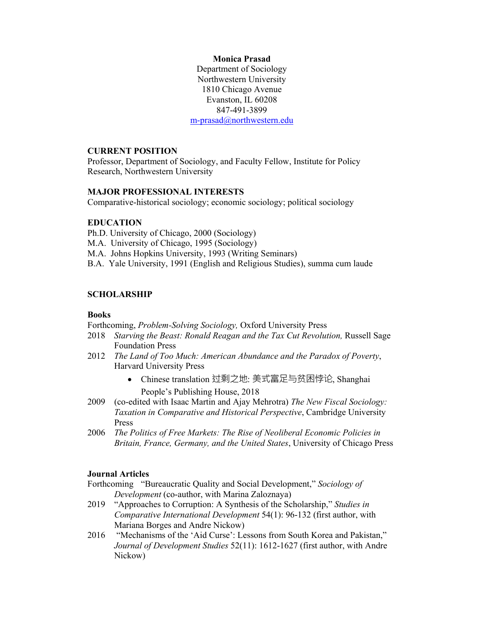## **Monica Prasad**

Department of Sociology Northwestern University 1810 Chicago Avenue Evanston, IL 60208 847-491-3899 m-prasad@northwestern.edu

### **CURRENT POSITION**

Professor, Department of Sociology, and Faculty Fellow, Institute for Policy Research, Northwestern University

## **MAJOR PROFESSIONAL INTERESTS**

Comparative-historical sociology; economic sociology; political sociology

## **EDUCATION**

Ph.D. University of Chicago, 2000 (Sociology)

M.A. University of Chicago, 1995 (Sociology)

M.A. Johns Hopkins University, 1993 (Writing Seminars)

B.A. Yale University, 1991 (English and Religious Studies), summa cum laude

## **SCHOLARSHIP**

### **Books**

Forthcoming, *Problem-Solving Sociology,* Oxford University Press

- 2018 *Starving the Beast: Ronald Reagan and the Tax Cut Revolution,* Russell Sage Foundation Press
- 2012 *The Land of Too Much: American Abundance and the Paradox of Poverty*, Harvard University Press
	- Chinese translation 过剩之地: 美式富足与贫困悖论, Shanghai People's Publishing House, 2018
- 2009 (co-edited with Isaac Martin and Ajay Mehrotra) *The New Fiscal Sociology: Taxation in Comparative and Historical Perspective*, Cambridge University Press
- 2006 *The Politics of Free Markets: The Rise of Neoliberal Economic Policies in Britain, France, Germany, and the United States*, University of Chicago Press

## **Journal Articles**

- Forthcoming "Bureaucratic Quality and Social Development," *Sociology of Development* (co-author, with Marina Zaloznaya)
- 2019 "Approaches to Corruption: A Synthesis of the Scholarship," *Studies in Comparative International Development* 54(1): 96-132 (first author, with Mariana Borges and Andre Nickow)
- 2016 "Mechanisms of the 'Aid Curse': Lessons from South Korea and Pakistan," *Journal of Development Studies* 52(11): 1612-1627 (first author, with Andre Nickow)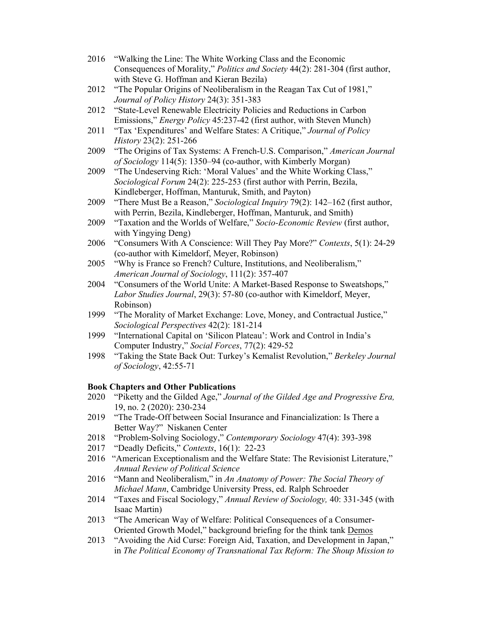- 2016 "Walking the Line: The White Working Class and the Economic Consequences of Morality," *Politics and Society* 44(2): 281-304 (first author, with Steve G. Hoffman and Kieran Bezila)
- 2012 "The Popular Origins of Neoliberalism in the Reagan Tax Cut of 1981," *Journal of Policy History* 24(3): 351-383
- 2012 "State-Level Renewable Electricity Policies and Reductions in Carbon Emissions," *Energy Policy* 45:237-42 (first author, with Steven Munch)
- 2011 "Tax 'Expenditures' and Welfare States: A Critique," *Journal of Policy History* 23(2): 251-266
- 2009 "The Origins of Tax Systems: A French-U.S. Comparison," *American Journal of Sociology* 114(5): 1350–94 (co-author, with Kimberly Morgan)
- 2009 "The Undeserving Rich: 'Moral Values' and the White Working Class," *Sociological Forum* 24(2): 225-253 (first author with Perrin, Bezila, Kindleberger, Hoffman, Manturuk, Smith, and Payton)
- 2009 "There Must Be a Reason," *Sociological Inquiry* 79(2): 142–162 (first author, with Perrin, Bezila, Kindleberger, Hoffman, Manturuk, and Smith)
- 2009 "Taxation and the Worlds of Welfare," *Socio-Economic Review* (first author, with Yingying Deng)
- 2006 "Consumers With A Conscience: Will They Pay More?" *Contexts*, 5(1): 24-29 (co-author with Kimeldorf, Meyer, Robinson)
- 2005 "Why is France so French? Culture, Institutions, and Neoliberalism," *American Journal of Sociology*, 111(2): 357-407
- 2004 "Consumers of the World Unite: A Market-Based Response to Sweatshops," *Labor Studies Journal*, 29(3): 57-80 (co-author with Kimeldorf, Meyer, Robinson)
- 1999 "The Morality of Market Exchange: Love, Money, and Contractual Justice," *Sociological Perspectives* 42(2): 181-214
- 1999 "International Capital on 'Silicon Plateau': Work and Control in India's Computer Industry," *Social Forces*, 77(2): 429-52
- 1998 "Taking the State Back Out: Turkey's Kemalist Revolution," *Berkeley Journal of Sociology*, 42:55-71

## **Book Chapters and Other Publications**

- 2020 "Piketty and the Gilded Age," *Journal of the Gilded Age and Progressive Era,*  19, no. 2 (2020): 230-234
- 2019 "The Trade-Off between Social Insurance and Financialization: Is There a Better Way?" Niskanen Center
- 2018 "Problem-Solving Sociology," *Contemporary Sociology* 47(4): 393-398
- 2017 "Deadly Deficits," *Contexts*, 16(1): 22-23
- 2016 "American Exceptionalism and the Welfare State: The Revisionist Literature," *Annual Review of Political Science*
- 2016 "Mann and Neoliberalism," in *An Anatomy of Power: The Social Theory of Michael Mann*, Cambridge University Press, ed. Ralph Schroeder
- 2014 "Taxes and Fiscal Sociology," *Annual Review of Sociology,* 40: 331-345 (with Isaac Martin)
- 2013 "The American Way of Welfare: Political Consequences of a Consumer-Oriented Growth Model," background briefing for the think tank Demos
- 2013 "Avoiding the Aid Curse: Foreign Aid, Taxation, and Development in Japan," in *The Political Economy of Transnational Tax Reform: The Shoup Mission to*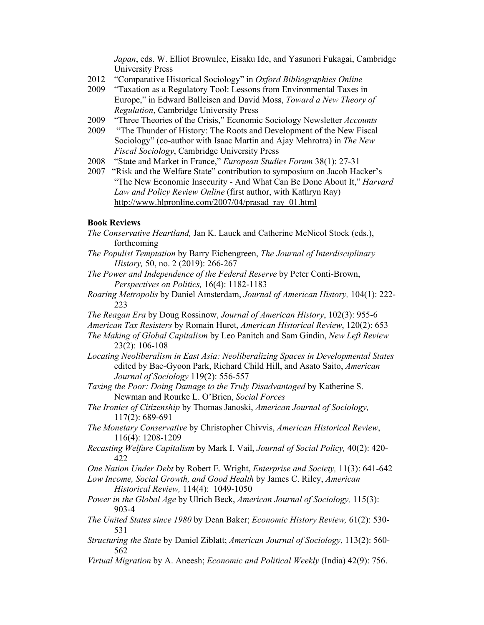*Japan*, eds. W. Elliot Brownlee, Eisaku Ide, and Yasunori Fukagai, Cambridge University Press

- 2012 "Comparative Historical Sociology" in *Oxford Bibliographies Online*
- 2009 "Taxation as a Regulatory Tool: Lessons from Environmental Taxes in Europe," in Edward Balleisen and David Moss, *Toward a New Theory of Regulation*, Cambridge University Press
- 2009 "Three Theories of the Crisis," Economic Sociology Newsletter *Accounts*
- 2009 "The Thunder of History: The Roots and Development of the New Fiscal Sociology" (co-author with Isaac Martin and Ajay Mehrotra) in *The New Fiscal Sociology*, Cambridge University Press
- 2008 "State and Market in France," *European Studies Forum* 38(1): 27-31
- 2007 "Risk and the Welfare State" contribution to symposium on Jacob Hacker's "The New Economic Insecurity - And What Can Be Done About It," *Harvard Law and Policy Review Online* (first author, with Kathryn Ray) http://www.hlpronline.com/2007/04/prasad\_ray\_01.html

## **Book Reviews**

- *The Conservative Heartland,* Jan K. Lauck and Catherine McNicol Stock (eds.), forthcoming
- *The Populist Temptation* by Barry Eichengreen, *The Journal of Interdisciplinary History,* 50, no. 2 (2019): 266-267
- *The Power and Independence of the Federal Reserve* by Peter Conti-Brown, *Perspectives on Politics,* 16(4): 1182-1183
- *Roaring Metropolis* by Daniel Amsterdam, *Journal of American History,* 104(1): 222- 223
- *The Reagan Era* by Doug Rossinow, *Journal of American History*, 102(3): 955-6
- *American Tax Resisters* by Romain Huret, *American Historical Review*, 120(2): 653
- *The Making of Global Capitalism* by Leo Panitch and Sam Gindin, *New Left Review* 23(2): 106-108
- *Locating Neoliberalism in East Asia: Neoliberalizing Spaces in Developmental States* edited by Bae-Gyoon Park, Richard Child Hill, and Asato Saito, *American Journal of Sociology* 119(2): 556-557
- *Taxing the Poor: Doing Damage to the Truly Disadvantaged* by Katherine S. Newman and Rourke L. O'Brien, *Social Forces*
- *The Ironies of Citizenship* by Thomas Janoski, *American Journal of Sociology,* 117(2): 689-691
- *The Monetary Conservative* by Christopher Chivvis, *American Historical Review*, 116(4): 1208-1209
- *Recasting Welfare Capitalism* by Mark I. Vail, *Journal of Social Policy,* 40(2): 420- 422
- *One Nation Under Debt* by Robert E. Wright, *Enterprise and Society,* 11(3): 641-642

*Low Income, Social Growth, and Good Health* by James C. Riley, *American Historical Review,* 114(4): 1049-1050

- *Power in the Global Age* by Ulrich Beck, *American Journal of Sociology,* 115(3): 903-4
- *The United States since 1980* by Dean Baker; *Economic History Review,* 61(2): 530- 531
- *Structuring the State* by Daniel Ziblatt; *American Journal of Sociology*, 113(2): 560- 562
- *Virtual Migration* by A. Aneesh; *Economic and Political Weekly* (India) 42(9): 756.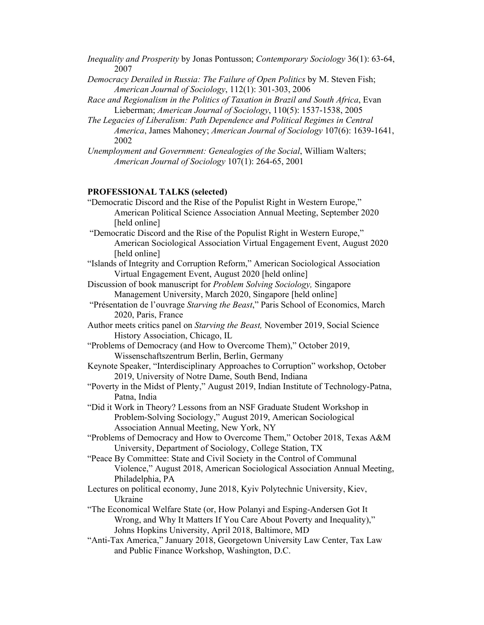- *Inequality and Prosperity* by Jonas Pontusson; *Contemporary Sociology* 36(1): 63-64, 2007
- *Democracy Derailed in Russia: The Failure of Open Politics* by M. Steven Fish; *American Journal of Sociology*, 112(1): 301-303, 2006
- *Race and Regionalism in the Politics of Taxation in Brazil and South Africa*, Evan Lieberman; *American Journal of Sociology*, 110(5): 1537-1538, 2005
- *The Legacies of Liberalism: Path Dependence and Political Regimes in Central America*, James Mahoney; *American Journal of Sociology* 107(6): 1639-1641, 2002
- *Unemployment and Government: Genealogies of the Social*, William Walters; *American Journal of Sociology* 107(1): 264-65, 2001

## **PROFESSIONAL TALKS (selected)**

- "Democratic Discord and the Rise of the Populist Right in Western Europe," American Political Science Association Annual Meeting, September 2020 [held online]
- "Democratic Discord and the Rise of the Populist Right in Western Europe," American Sociological Association Virtual Engagement Event, August 2020 [held online]
- "Islands of Integrity and Corruption Reform," American Sociological Association Virtual Engagement Event, August 2020 [held online]
- Discussion of book manuscript for *Problem Solving Sociology,* Singapore Management University, March 2020, Singapore [held online]
- "Présentation de l'ouvrage *Starving the Beast*," Paris School of Economics, March 2020, Paris, France
- Author meets critics panel on *Starving the Beast,* November 2019, Social Science History Association, Chicago, IL
- "Problems of Democracy (and How to Overcome Them)," October 2019, Wissenschaftszentrum Berlin, Berlin, Germany
- Keynote Speaker, "Interdisciplinary Approaches to Corruption" workshop, October 2019, University of Notre Dame, South Bend, Indiana
- "Poverty in the Midst of Plenty," August 2019, Indian Institute of Technology-Patna, Patna, India
- "Did it Work in Theory? Lessons from an NSF Graduate Student Workshop in Problem-Solving Sociology," August 2019, American Sociological Association Annual Meeting, New York, NY
- "Problems of Democracy and How to Overcome Them," October 2018, Texas A&M University, Department of Sociology, College Station, TX
- "Peace By Committee: State and Civil Society in the Control of Communal Violence," August 2018, American Sociological Association Annual Meeting, Philadelphia, PA
- Lectures on political economy, June 2018, Kyiv Polytechnic University, Kiev, Ukraine
- "The Economical Welfare State (or, How Polanyi and Esping-Andersen Got It Wrong, and Why It Matters If You Care About Poverty and Inequality)," Johns Hopkins University, April 2018, Baltimore, MD
- "Anti-Tax America," January 2018, Georgetown University Law Center, Tax Law and Public Finance Workshop, Washington, D.C.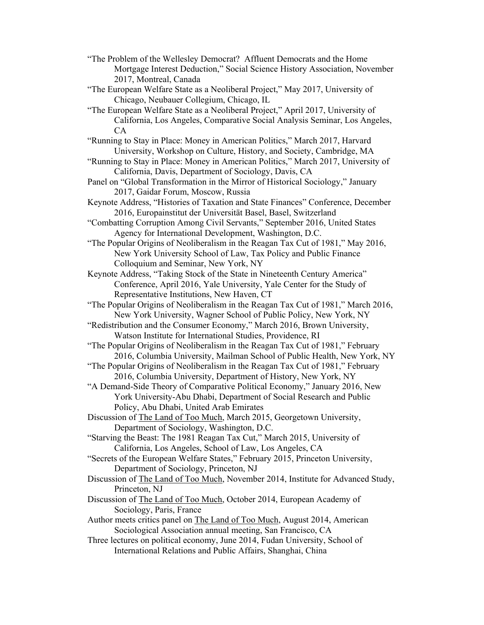- "The Problem of the Wellesley Democrat? Affluent Democrats and the Home Mortgage Interest Deduction," Social Science History Association, November 2017, Montreal, Canada
- "The European Welfare State as a Neoliberal Project," May 2017, University of Chicago, Neubauer Collegium, Chicago, IL
- "The European Welfare State as a Neoliberal Project," April 2017, University of California, Los Angeles, Comparative Social Analysis Seminar, Los Angeles, CA
- "Running to Stay in Place: Money in American Politics," March 2017, Harvard University, Workshop on Culture, History, and Society, Cambridge, MA
- "Running to Stay in Place: Money in American Politics," March 2017, University of California, Davis, Department of Sociology, Davis, CA
- Panel on "Global Transformation in the Mirror of Historical Sociology," January 2017, Gaidar Forum, Moscow, Russia
- Keynote Address, "Histories of Taxation and State Finances" Conference, December 2016, Europainstitut der Universität Basel, Basel, Switzerland
- "Combatting Corruption Among Civil Servants," September 2016, United States Agency for International Development, Washington, D.C.
- "The Popular Origins of Neoliberalism in the Reagan Tax Cut of 1981," May 2016, New York University School of Law, Tax Policy and Public Finance Colloquium and Seminar, New York, NY
- Keynote Address, "Taking Stock of the State in Nineteenth Century America" Conference, April 2016, Yale University, Yale Center for the Study of Representative Institutions, New Haven, CT
- "The Popular Origins of Neoliberalism in the Reagan Tax Cut of 1981," March 2016, New York University, Wagner School of Public Policy, New York, NY
- "Redistribution and the Consumer Economy," March 2016, Brown University, Watson Institute for International Studies, Providence, RI
- "The Popular Origins of Neoliberalism in the Reagan Tax Cut of 1981," February 2016, Columbia University, Mailman School of Public Health, New York, NY
- "The Popular Origins of Neoliberalism in the Reagan Tax Cut of 1981," February 2016, Columbia University, Department of History, New York, NY
- "A Demand-Side Theory of Comparative Political Economy," January 2016, New York University-Abu Dhabi, Department of Social Research and Public Policy, Abu Dhabi, United Arab Emirates
- Discussion of The Land of Too Much, March 2015, Georgetown University, Department of Sociology, Washington, D.C.
- "Starving the Beast: The 1981 Reagan Tax Cut," March 2015, University of California, Los Angeles, School of Law, Los Angeles, CA
- "Secrets of the European Welfare States," February 2015, Princeton University, Department of Sociology, Princeton, NJ
- Discussion of The Land of Too Much, November 2014, Institute for Advanced Study, Princeton, NJ
- Discussion of The Land of Too Much, October 2014, European Academy of Sociology, Paris, France
- Author meets critics panel on The Land of Too Much, August 2014, American Sociological Association annual meeting, San Francisco, CA
- Three lectures on political economy, June 2014, Fudan University, School of International Relations and Public Affairs, Shanghai, China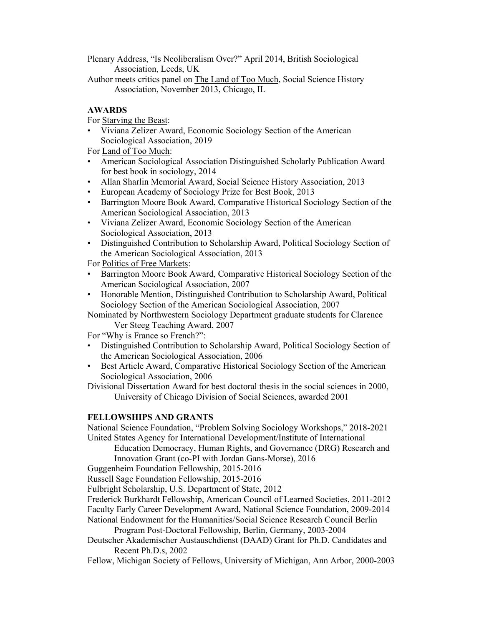Plenary Address, "Is Neoliberalism Over?" April 2014, British Sociological Association, Leeds, UK

Author meets critics panel on The Land of Too Much, Social Science History Association, November 2013, Chicago, IL

# **AWARDS**

For Starving the Beast:

• Viviana Zelizer Award, Economic Sociology Section of the American Sociological Association, 2019

For Land of Too Much:

- American Sociological Association Distinguished Scholarly Publication Award for best book in sociology, 2014
- Allan Sharlin Memorial Award, Social Science History Association, 2013
- European Academy of Sociology Prize for Best Book, 2013
- Barrington Moore Book Award, Comparative Historical Sociology Section of the American Sociological Association, 2013
- Viviana Zelizer Award, Economic Sociology Section of the American Sociological Association, 2013
- Distinguished Contribution to Scholarship Award, Political Sociology Section of the American Sociological Association, 2013

For Politics of Free Markets:

- Barrington Moore Book Award, Comparative Historical Sociology Section of the American Sociological Association, 2007
- Honorable Mention, Distinguished Contribution to Scholarship Award, Political Sociology Section of the American Sociological Association, 2007

Nominated by Northwestern Sociology Department graduate students for Clarence Ver Steeg Teaching Award, 2007

For "Why is France so French?":

- Distinguished Contribution to Scholarship Award, Political Sociology Section of the American Sociological Association, 2006
- Best Article Award, Comparative Historical Sociology Section of the American Sociological Association, 2006

Divisional Dissertation Award for best doctoral thesis in the social sciences in 2000, University of Chicago Division of Social Sciences, awarded 2001

# **FELLOWSHIPS AND GRANTS**

National Science Foundation, "Problem Solving Sociology Workshops," 2018-2021 United States Agency for International Development/Institute of International

Education Democracy, Human Rights, and Governance (DRG) Research and Innovation Grant (co-PI with Jordan Gans-Morse), 2016

Guggenheim Foundation Fellowship, 2015-2016

Russell Sage Foundation Fellowship, 2015-2016

Fulbright Scholarship, U.S. Department of State, 2012

Frederick Burkhardt Fellowship, American Council of Learned Societies, 2011-2012 Faculty Early Career Development Award, National Science Foundation, 2009-2014

National Endowment for the Humanities/Social Science Research Council Berlin

Program Post-Doctoral Fellowship, Berlin, Germany, 2003-2004

Deutscher Akademischer Austauschdienst (DAAD) Grant for Ph.D. Candidates and Recent Ph.D.s, 2002

Fellow, Michigan Society of Fellows, University of Michigan, Ann Arbor, 2000-2003